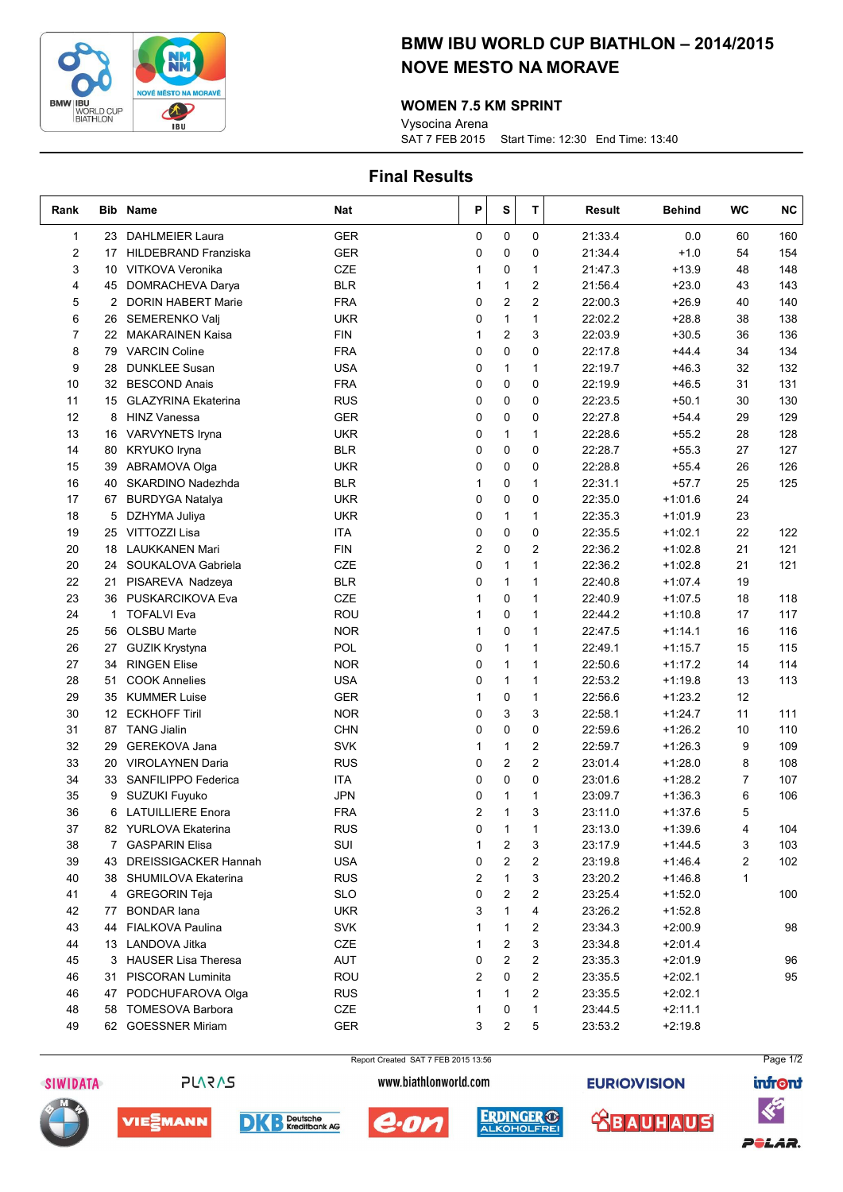

# BMW IBU WORLD CUP BIATHLON – 2014/2015 NOVE MESTO NA MORAVE

#### WOMEN 7.5 KM SPRINT

SAT 7 FEB 2015 Start Time: 12:30 End Time: 13:40 Vysocina Arena

## Final Results

| Rank           |                 | <b>Bib Name</b>             | Nat        | Ρ        | S              | т              | <b>Result</b> | <b>Behind</b> | <b>WC</b>      | <b>NC</b> |
|----------------|-----------------|-----------------------------|------------|----------|----------------|----------------|---------------|---------------|----------------|-----------|
| 1              | 23              | <b>DAHLMEIER Laura</b>      | <b>GER</b> | 0        | $\mathbf 0$    | 0              | 21:33.4       | 0.0           | 60             | 160       |
| 2              | 17              | <b>HILDEBRAND Franziska</b> | <b>GER</b> | 0        | 0              | 0              | 21:34.4       | $+1.0$        | 54             | 154       |
| 3              | 10              | VITKOVA Veronika            | <b>CZE</b> | 1        | 0              | 1              | 21:47.3       | $+13.9$       | 48             | 148       |
| 4              | 45              | DOMRACHEVA Darya            | <b>BLR</b> | 1        | $\mathbf{1}$   | 2              | 21:56.4       | $+23.0$       | 43             | 143       |
| 5              | $\overline{2}$  | <b>DORIN HABERT Marie</b>   | <b>FRA</b> | 0        | $\overline{c}$ | 2              | 22:00.3       | $+26.9$       | 40             | 140       |
| 6              | 26              | SEMERENKO Valj              | <b>UKR</b> | 0        | 1              | 1              | 22:02.2       | $+28.8$       | 38             | 138       |
| $\overline{7}$ | 22              | <b>MAKARAINEN Kaisa</b>     | <b>FIN</b> | 1        | $\overline{c}$ | 3              | 22:03.9       | $+30.5$       | 36             | 136       |
| 8              | 79              | <b>VARCIN Coline</b>        | <b>FRA</b> | 0        | 0              | 0              | 22:17.8       | $+44.4$       | 34             | 134       |
| 9              | 28              | <b>DUNKLEE Susan</b>        | <b>USA</b> | 0        | 1              | 1              | 22:19.7       | $+46.3$       | 32             | 132       |
| 10             | 32              | <b>BESCOND Anais</b>        | <b>FRA</b> | 0        | 0              | 0              | 22:19.9       | $+46.5$       | 31             | 131       |
| 11             | 15              | <b>GLAZYRINA Ekaterina</b>  | <b>RUS</b> | 0        | 0              | 0              | 22:23.5       | $+50.1$       | 30             | 130       |
| 12             | 8               | <b>HINZ Vanessa</b>         | <b>GER</b> | 0        | 0              | 0              | 22:27.8       | $+54.4$       | 29             | 129       |
| 13             |                 | 16 VARVYNETS Iryna          | <b>UKR</b> | 0        | $\mathbf{1}$   | $\mathbf{1}$   | 22:28.6       | $+55.2$       | 28             | 128       |
| 14             | 80              | <b>KRYUKO Iryna</b>         | <b>BLR</b> | 0        | 0              | 0              | 22:28.7       | $+55.3$       | 27             | 127       |
| 15             | 39              | ABRAMOVA Olga               | <b>UKR</b> | 0        | 0              | 0              | 22:28.8       | $+55.4$       | 26             | 126       |
| 16             | 40              | SKARDINO Nadezhda           | <b>BLR</b> | 1        | 0              | $\mathbf{1}$   | 22:31.1       | $+57.7$       | 25             | 125       |
| 17             |                 | 67 BURDYGA Natalya          | <b>UKR</b> | 0        | 0              | 0              | 22:35.0       | $+1:01.6$     | 24             |           |
| 18             | 5               | DZHYMA Juliya               | <b>UKR</b> | 0        | $\mathbf{1}$   | 1              | 22:35.3       | $+1:01.9$     | 23             |           |
| 19             |                 | 25 VITTOZZI Lisa            | ITA        | 0        | 0              | 0              | 22:35.5       | $+1:02.1$     | 22             | 122       |
| 20             | 18              | LAUKKANEN Mari              | <b>FIN</b> | 2        | 0              | 2              | 22:36.2       | $+1:02.8$     | 21             | 121       |
| 20             |                 | 24 SOUKALOVA Gabriela       | CZE        | 0        | 1              | 1              | 22:36.2       | $+1:02.8$     | 21             | 121       |
| 22             | 21              | PISAREVA Nadzeya            | <b>BLR</b> | 0        | 1              | 1              | 22:40.8       | $+1:07.4$     | 19             |           |
| 23             | 36              | PUSKARCIKOVA Eva            | <b>CZE</b> | 1        | 0              | 1              | 22:40.9       | $+1:07.5$     | 18             | 118       |
| 24             | $\mathbf{1}$    | <b>TOFALVI Eva</b>          | ROU        | 1        | 0              | 1              | 22:44.2       | $+1:10.8$     | 17             | 117       |
| 25             | 56              | OLSBU Marte                 | <b>NOR</b> | 1        | 0              | 1              | 22:47.5       | $+1:14.1$     | 16             | 116       |
| 26             |                 | 27 GUZIK Krystyna           | <b>POL</b> | 0        | $\mathbf{1}$   | $\mathbf{1}$   | 22:49.1       | $+1:15.7$     | 15             | 115       |
| 27             | 34              | <b>RINGEN Elise</b>         | <b>NOR</b> | 0        | $\mathbf{1}$   | 1              | 22:50.6       | $+1:17.2$     | 14             | 114       |
| 28             | 51              | <b>COOK Annelies</b>        | <b>USA</b> | 0        | $\mathbf{1}$   | 1              | 22:53.2       | $+1:19.8$     | 13             | 113       |
| 29             |                 | 35 KUMMER Luise             | <b>GER</b> | 1        | 0              | $\mathbf{1}$   | 22:56.6       | $+1:23.2$     | 12             |           |
| 30             | 12 <sup>°</sup> | <b>ECKHOFF Tiril</b>        | <b>NOR</b> | 0        | 3              | 3              | 22:58.1       | $+1:24.7$     | 11             | 111       |
| 31             | 87              | <b>TANG Jialin</b>          | <b>CHN</b> | 0        | 0              | 0              | 22:59.6       | $+1:26.2$     | 10             | 110       |
| 32             | 29              | <b>GEREKOVA Jana</b>        | <b>SVK</b> | 1        | $\mathbf{1}$   | $\overline{2}$ | 22:59.7       | $+1:26.3$     | 9              | 109       |
| 33             | 20              | <b>VIROLAYNEN Daria</b>     | <b>RUS</b> | 0        | $\overline{2}$ | $\overline{2}$ | 23:01.4       | $+1:28.0$     | 8              | 108       |
| 34             | 33              | SANFILIPPO Federica         | <b>ITA</b> | 0        | 0              | 0              | 23:01.6       | $+1:28.2$     | $\overline{7}$ | 107       |
| 35             | 9               | SUZUKI Fuyuko               | <b>JPN</b> | 0        | 1              | 1              | 23:09.7       | $+1:36.3$     | 6              | 106       |
| 36             | 6               | <b>LATUILLIERE Enora</b>    | <b>FRA</b> | 2        | $\mathbf{1}$   | 3              | 23:11.0       | $+1:37.6$     | 5              |           |
| 37             |                 | 82 YURLOVA Ekaterina        | <b>RUS</b> | $\Omega$ | $\mathbf{1}$   | 1              | 23:13.0       | $+1:39.6$     | 4              | 104       |
| 38             |                 | 7 GASPARIN Elisa            | SUI        | 1        | 2              | 3              | 23:17.9       | $+1:44.5$     | 3              | 103       |
| 39             |                 | 43 DREISSIGACKER Hannah     | <b>USA</b> | 0        | 2              | 2              | 23:19.8       | $+1:46.4$     | 2              | 102       |
| 40             |                 | 38 SHUMILOVA Ekaterina      | <b>RUS</b> | 2        | 1              | 3              | 23:20.2       | $+1:46.8$     | $\mathbf{1}$   |           |
| 41             |                 | 4 GREGORIN Teja             | <b>SLO</b> | 0        | 2              | 2              | 23:25.4       | +1:52.0       |                | 100       |
| 42             | 77              | <b>BONDAR</b> lana          | <b>UKR</b> | 3        | 1              | 4              | 23:26.2       | $+1:52.8$     |                |           |
| 43             |                 | 44 FIALKOVA Paulina         | <b>SVK</b> | 1        | 1              | 2              | 23:34.3       | $+2:00.9$     |                | 98        |
| 44             |                 | 13 LANDOVA Jitka            | CZE        | 1        | 2              | 3              | 23:34.8       | $+2:01.4$     |                |           |
| 45             |                 | 3 HAUSER Lisa Theresa       | AUT        | 0        | 2              | 2              | 23:35.3       | $+2:01.9$     |                | 96        |
| 46             |                 | 31 PISCORAN Luminita        | <b>ROU</b> | 2        | 0              | 2              | 23:35.5       | $+2:02.1$     |                | 95        |
| 46             |                 | 47 PODCHUFAROVA Olga        | <b>RUS</b> | 1        | 1              | 2              | 23:35.5       | $+2:02.1$     |                |           |
| 48             |                 | 58 TOMESOVA Barbora         | CZE        | 1        | 0              | 1              | 23:44.5       | $+2:11.1$     |                |           |
| 49             |                 | 62 GOESSNER Miriam          | <b>GER</b> | 3        | 2              | 5              | 23:53.2       | $+2:19.8$     |                |           |



**PLARAS** 





Page 1/2